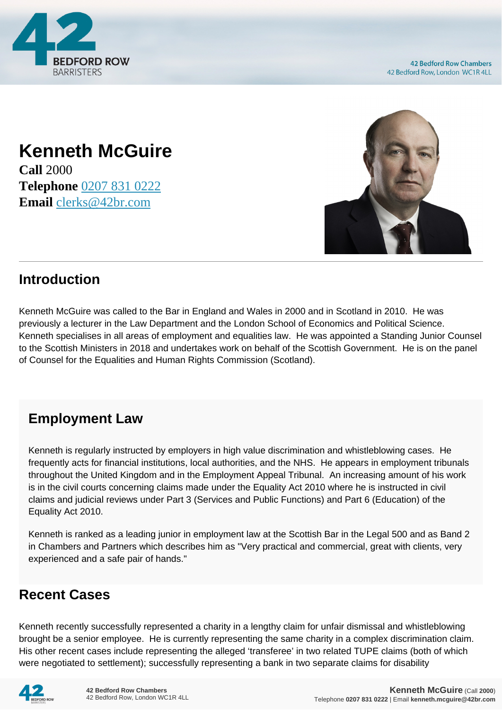

## **Kenneth McGuire**

**Call** 2000 **Telephone** [0207 831 0222](https://pdf.codeshore.co/_42br/tel:0207 831 0222) **Email** [clerks@42br.com](mailto:clerks@42br.com)



## **Introduction**

Kenneth McGuire was called to the Bar in England and Wales in 2000 and in Scotland in 2010. He was previously a lecturer in the Law Department and the London School of Economics and Political Science. Kenneth specialises in all areas of employment and equalities law. He was appointed a Standing Junior Counsel to the Scottish Ministers in 2018 and undertakes work on behalf of the Scottish Government. He is on the panel of Counsel for the Equalities and Human Rights Commission (Scotland).

## **Employment Law**

Kenneth is regularly instructed by employers in high value discrimination and whistleblowing cases. He frequently acts for financial institutions, local authorities, and the NHS. He appears in employment tribunals throughout the United Kingdom and in the Employment Appeal Tribunal. An increasing amount of his work is in the civil courts concerning claims made under the Equality Act 2010 where he is instructed in civil claims and judicial reviews under Part 3 (Services and Public Functions) and Part 6 (Education) of the Equality Act 2010.

Kenneth is ranked as a leading junior in employment law at the Scottish Bar in the Legal 500 and as Band 2 in Chambers and Partners which describes him as "Very practical and commercial, great with clients, very experienced and a safe pair of hands."

## **Recent Cases**

Kenneth recently successfully represented a charity in a lengthy claim for unfair dismissal and whistleblowing brought be a senior employee. He is currently representing the same charity in a complex discrimination claim. His other recent cases include representing the alleged 'transferee' in two related TUPE claims (both of which were negotiated to settlement); successfully representing a bank in two separate claims for disability